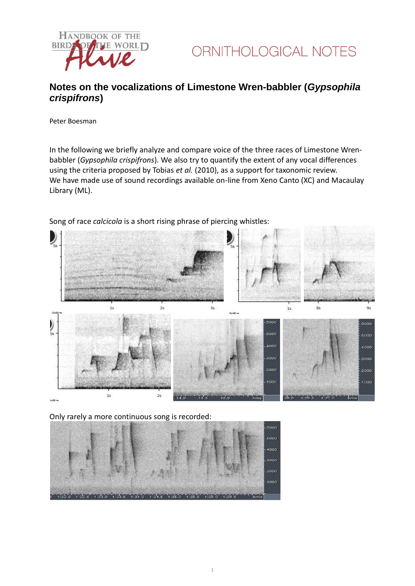



## **Notes on the vocalizations of Limestone Wren-babbler (***Gypsophila crispifrons***)**

Peter Boesman

In the following we briefly analyze and compare voice of the three races of Limestone Wrenbabbler (*Gypsophila crispifrons*)*.* We also try to quantify the extent of any vocal differences using the criteria proposed by Tobias *et al.* (2010), as a support for taxonomic review. We have made use of sound recordings available on-line from Xeno Canto (XC) and Macaulay Library (ML).



Song of race *calcicola* is a short rising phrase of piercing whistles:

Only rarely a more continuous song is recorded:

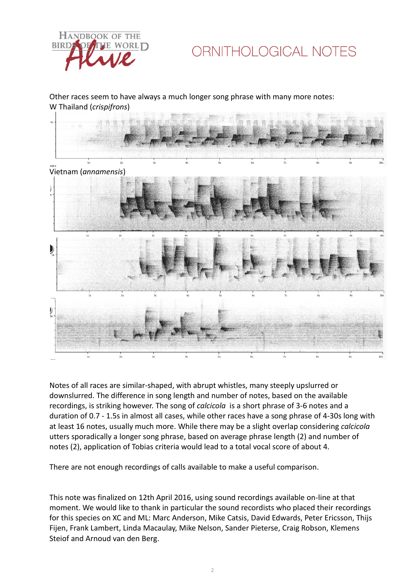

## ORNITHOLOGICAL NOTES

Other races seem to have always a much longer song phrase with many more notes: W Thailand (*crispifrons*)



Notes of all races are similar-shaped, with abrupt whistles, many steeply upslurred or downslurred. The difference in song length and number of notes, based on the available recordings, is striking however. The song of *calcicola* is a short phrase of 3-6 notes and a duration of 0.7 - 1.5s in almost all cases, while other races have a song phrase of 4-30s long with at least 16 notes, usually much more. While there may be a slight overlap considering *calcicola* utters sporadically a longer song phrase, based on average phrase length (2) and number of notes (2), application of Tobias criteria would lead to a total vocal score of about 4.

There are not enough recordings of calls available to make a useful comparison.

This note was finalized on 12th April 2016, using sound recordings available on-line at that moment. We would like to thank in particular the sound recordists who placed their recordings for this species on XC and ML: Marc Anderson, Mike Catsis, David Edwards, Peter Ericsson, Thijs Fijen, Frank Lambert, Linda Macaulay, Mike Nelson, Sander Pieterse, Craig Robson, Klemens Steiof and Arnoud van den Berg.